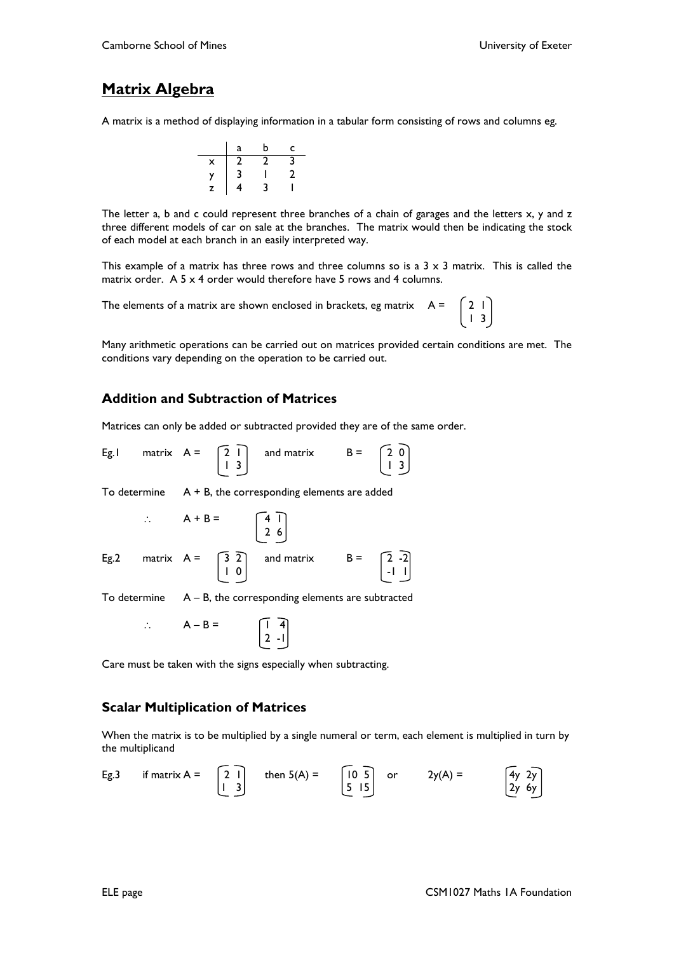### **Matrix Algebra**

A matrix is a method of displaying information in a tabular form consisting of rows and columns eg.



The letter a, b and c could represent three branches of a chain of garages and the letters x, y and z three different models of car on sale at the branches. The matrix would then be indicating the stock of each model at each branch in an easily interpreted way.

This example of a matrix has three rows and three columns so is a  $3 \times 3$  matrix. This is called the matrix order. A 5 x 4 order would therefore have 5 rows and 4 columns.

The elements of a matrix are shown enclosed in brackets, eg matrix  $A = \begin{bmatrix} 2 & 1 \end{bmatrix}$  $\begin{array}{|c|c|c|c|c|c|c|c|c|} \hline \end{array}$ 

Many arithmetic operations can be carried out on matrices provided certain conditions are met. The conditions vary depending on the operation to be carried out.

### **Addition and Subtraction of Matrices**

Matrices can only be added or subtracted provided they are of the same order.

|  |  |                                                             |                                                                     | Eg.I matrix $A = \begin{bmatrix} 2 & 1 \\ 1 & 3 \end{bmatrix}$ and matrix $B = \begin{bmatrix} 2 & 0 \\ 1 & 3 \end{bmatrix}$   |  |  |
|--|--|-------------------------------------------------------------|---------------------------------------------------------------------|--------------------------------------------------------------------------------------------------------------------------------|--|--|
|  |  | To determine $A + B$ , the corresponding elements are added |                                                                     |                                                                                                                                |  |  |
|  |  |                                                             | $\therefore$ A + B = $\begin{bmatrix} 4 & 1 \\ 2 & 6 \end{bmatrix}$ |                                                                                                                                |  |  |
|  |  |                                                             |                                                                     | Eg.2 matrix $A = \begin{bmatrix} 3 & 2 \\ 1 & 0 \end{bmatrix}$ and matrix $B = \begin{bmatrix} 2 & -2 \\ -1 & 1 \end{bmatrix}$ |  |  |

To determine  $A - B$ , the corresponding elements are subtracted

 $\therefore$  A – B =  $\begin{bmatrix} 1 & 4 \end{bmatrix}$ 2 -1

Care must be taken with the signs especially when subtracting.

#### **Scalar Multiplication of Matrices**

When the matrix is to be multiplied by a single numeral or term, each element is multiplied in turn by the multiplicand

Eg.3 if matrix A = 
$$
\begin{bmatrix} 2 & 1 \\ 1 & 3 \end{bmatrix}
$$
 then  $5(A) = \begin{bmatrix} 10 & 5 \\ 5 & 15 \end{bmatrix}$  or  $2y(A) = \begin{bmatrix} 4y & 2y \\ 2y & 6y \end{bmatrix}$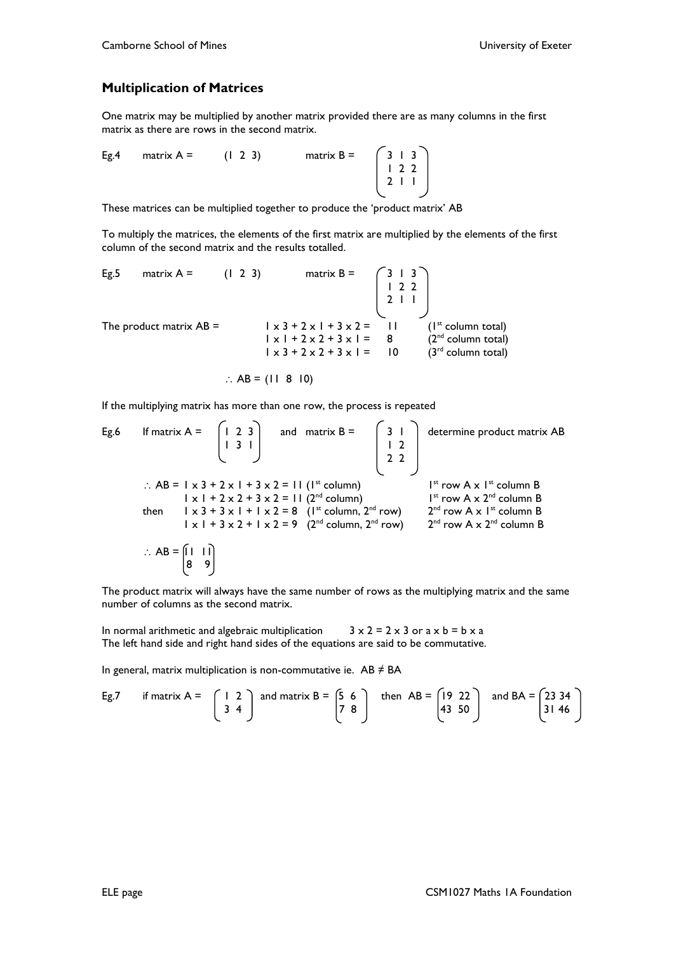#### **Multiplication of Matrices**

One matrix may be multiplied by another matrix provided there are as many columns in the first matrix as there are rows in the second matrix.

Eg.4 matrix  $A = (1 \ 2 \ 3)$  matrix  $B =$  1 2 2  $\begin{array}{|c|c|c|c|c|c|c|c|c|} \hline 2 & 1 & 1 \\\hline \end{array}$ 

These matrices can be multiplied together to produce the 'product matrix' AB

To multiply the matrices, the elements of the first matrix are multiplied by the elements of the first column of the second matrix and the results totalled.

Eg.5 matrix  $A = (1 \ 2 \ 3)$  matrix  $B =$  $\begin{pmatrix} 1 & 2 & 2 \\ 2 & 1 & 1 \end{pmatrix}$  2 1 1 The product matrix  $AB = 1 \times 3 + 2 \times 1 + 3 \times 2 = 11$  (1<sup>st</sup> column total)  $1 \times 1 + 2 \times 2 + 3 \times 1 = 8$  (2<sup>nd</sup> column total)  $1 \times 3 + 2 \times 2 + 3 \times 1 =$  10 (3<sup>rd</sup> column total)

$$
\therefore AB = (11 \ 8 \ 10)
$$

If the multiplying matrix has more than one row, the process is repeated

Eg.6 If matrix A = 
$$
\begin{bmatrix} 1 & 2 & 3 \\ 1 & 3 & 1 \end{bmatrix}
$$
 and matrix B =  $\begin{bmatrix} 3 & 1 \\ 1 & 2 \\ 2 & 2 \end{bmatrix}$  determine product matrix AB  
\n $\begin{bmatrix} 1 & 2 & 3 \\ 2 & 2 & 2 \\ 2 & 2 & 2 \end{bmatrix}$   
\n $\begin{bmatrix} 1 & 2 & 3 \\ 1 & 2 & 2 \\ 2 & 2 & 2 \end{bmatrix}$   
\n $\begin{bmatrix} 1 & 2 & 3 \\ 1 & 2 & 2 \\ 2 & 2 & 2 \end{bmatrix}$   
\n $\begin{bmatrix} 1 & 2 & 3 \\ 1 & 2 & 2 \\ 2 & 2 & 2 \end{bmatrix}$   
\n $\begin{bmatrix} 1 & 2 & 3 \\ 1 & 2 & 2 \\ 2 & 2 & 2 \end{bmatrix}$   
\n $\begin{bmatrix} 1 & 1 & 1 \\ 1 & 1 & 3 \\ 1 & 1 & 2 \end{bmatrix}$   
\n $\begin{bmatrix} 1 & 1 & 1 \\ 1 & 1 & 3 \\ 1 & 1 & 2 \end{bmatrix}$   
\n $\begin{bmatrix} 1 & 1 & 1 \\ 1 & 1 & 2 \\ 1 & 1 & 2 \end{bmatrix}$   
\n $\begin{bmatrix} 1 & 1 & 1 \\ 1 & 1 & 2 \\ 1 & 1 & 2 \end{bmatrix}$   
\n $\begin{bmatrix} 1 & 1 & 1 \\ 1 & 1 & 2 \\ 1 & 1 & 2 \end{bmatrix}$   
\n $\begin{bmatrix} 1 & 1 & 1 \\ 1 & 1 & 2 \\ 1 & 1 & 2 \end{bmatrix}$   
\n $\begin{bmatrix} 1 & 1 & 1 \\ 1 & 1 & 2 \\ 1 & 1 & 2 \end{bmatrix}$   
\n $\begin{bmatrix} 1 & 1 & 1 \\ 1 & 1 & 2 \\ 1 & 1 & 2 \end{bmatrix}$   
\n $\begin{bmatrix} 1 & 1 & 1 \\ 1 & 1 & 2 \\ 1 & 1 & 2 \end{bmatrix}$   
\n $\begin{bmatrix} 1 & 1 & 1 \\ 1 & 1 & 2 \\ 1 & 1 & 2 \end{bmatrix}$   
\n $\begin{$ 

The product matrix will always have the same number of rows as the multiplying matrix and the same number of columns as the second matrix.

In normal arithmetic and algebraic multiplication  $3 \times 2 = 2 \times 3$  or a  $\times$  b = b  $\times$  a The left hand side and right hand sides of the equations are said to be commutative.

In general, matrix multiplication is non-commutative ie.  $AB \neq BA$ 

Eg.7 if matrix A = 
$$
\begin{bmatrix} 1 & 2 \\ 3 & 4 \end{bmatrix}
$$
 and matrix B =  $\begin{bmatrix} 5 & 6 \\ 7 & 8 \end{bmatrix}$  then AB =  $\begin{bmatrix} 19 & 22 \\ 43 & 50 \end{bmatrix}$  and BA =  $\begin{bmatrix} 23 & 34 \\ 31 & 46 \end{bmatrix}$